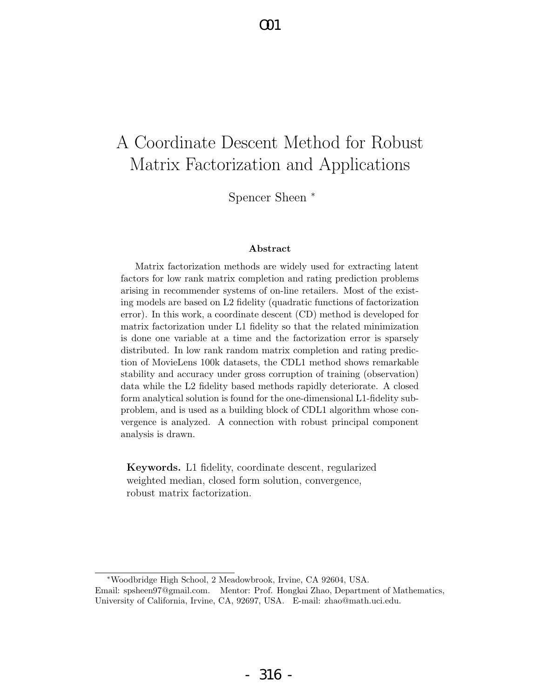# A Coordinate Descent Method for Robust Matrix Factorization and Applications

 $\Omega$ 1

Spencer Sheen <sup>∗</sup>

#### Abstract

Matrix factorization methods are widely used for extracting latent factors for low rank matrix completion and rating prediction problems arising in recommender systems of on-line retailers. Most of the existing models are based on L2 fidelity (quadratic functions of factorization error). In this work, a coordinate descent (CD) method is developed for matrix factorization under L1 fidelity so that the related minimization is done one variable at a time and the factorization error is sparsely distributed. In low rank random matrix completion and rating prediction of MovieLens 100k datasets, the CDL1 method shows remarkable stability and accuracy under gross corruption of training (observation) data while the L2 fidelity based methods rapidly deteriorate. A closed form analytical solution is found for the one-dimensional L1-fidelity subproblem, and is used as a building block of CDL1 algorithm whose convergence is analyzed. A connection with robust principal component analysis is drawn.

Keywords. L1 fidelity, coordinate descent, regularized weighted median, closed form solution, convergence, robust matrix factorization.

<sup>∗</sup>Woodbridge High School, 2 Meadowbrook, Irvine, CA 92604, USA. Email: spsheen97@gmail.com. Mentor: Prof. Hongkai Zhao, Department of Mathematics, University of California, Irvine, CA, 92697, USA. E-mail: zhao@math.uci.edu.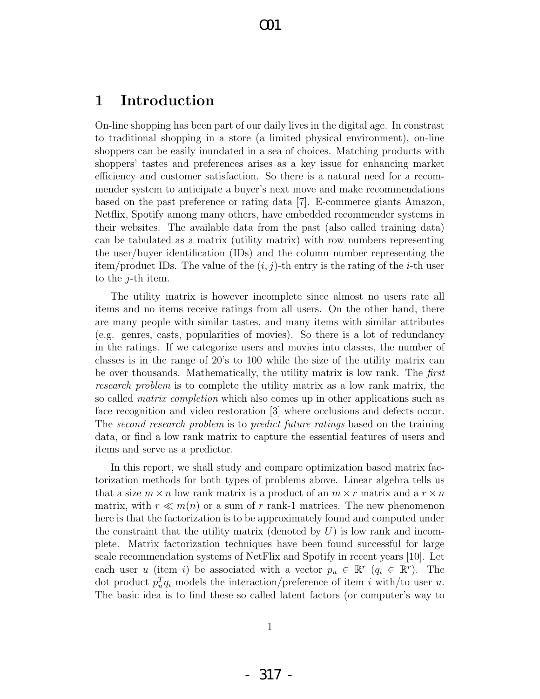## 1 Introduction

On-line shopping has been part of our daily lives in the digital age. In constrast to traditional shopping in a store (a limited physical environment), on-line shoppers can be easily inundated in a sea of choices. Matching products with shoppers' tastes and preferences arises as a key issue for enhancing market efficiency and customer satisfaction. So there is a natural need for a recommender system to anticipate a buyer's next move and make recommendations based on the past preference or rating data [7]. E-commerce giants Amazon, Netflix, Spotify among many others, have embedded recommender systems in their websites. The available data from the past (also called training data) can be tabulated as a matrix (utility matrix) with row numbers representing the user/buyer identification (IDs) and the column number representing the item/product IDs. The value of the  $(i, j)$ -th entry is the rating of the *i*-th user to the j-th item.

The utility matrix is however incomplete since almost no users rate all items and no items receive ratings from all users. On the other hand, there are many people with similar tastes, and many items with similar attributes (e.g. genres, casts, popularities of movies). So there is a lot of redundancy in the ratings. If we categorize users and movies into classes, the number of classes is in the range of 20's to 100 while the size of the utility matrix can be over thousands. Mathematically, the utility matrix is low rank. The first research problem is to complete the utility matrix as a low rank matrix, the so called *matrix completion* which also comes up in other applications such as face recognition and video restoration [3] where occlusions and defects occur. The second research problem is to predict future ratings based on the training data, or find a low rank matrix to capture the essential features of users and items and serve as a predictor.

In this report, we shall study and compare optimization based matrix factorization methods for both types of problems above. Linear algebra tells us that a size  $m \times n$  low rank matrix is a product of an  $m \times r$  matrix and a  $r \times n$ matrix, with  $r \ll m(n)$  or a sum of r rank-1 matrices. The new phenomenon here is that the factorization is to be approximately found and computed under the constraint that the utility matrix (denoted by  $U$ ) is low rank and incomplete. Matrix factorization techniques have been found successful for large scale recommendation systems of NetFlix and Spotify in recent years [10]. Let each user u (item i) be associated with a vector  $p_u \in \mathbb{R}^r$   $(q_i \in \mathbb{R}^r)$ . The dot product  $p_u^T q_i$  models the interaction/preference of item i with/to user u. The basic idea is to find these so called latent factors (or computer's way to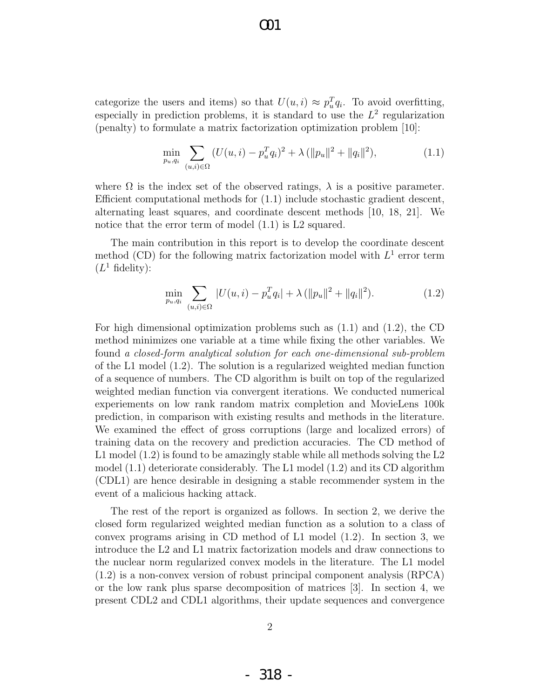categorize the users and items) so that  $U(u, i) \approx p_u^T q_i$ . To avoid overfitting, especially in prediction problems, it is standard to use the  $L^2$  regularization (penalty) to formulate a matrix factorization optimization problem [10]:

$$
\min_{p_u, q_i} \sum_{(u,i) \in \Omega} \left( U(u,i) - p_u^T q_i \right)^2 + \lambda \left( \| p_u \|^2 + \| q_i \|^2 \right), \tag{1.1}
$$

where  $\Omega$  is the index set of the observed ratings,  $\lambda$  is a positive parameter. Efficient computational methods for (1.1) include stochastic gradient descent, alternating least squares, and coordinate descent methods [10, 18, 21]. We notice that the error term of model  $(1.1)$  is L2 squared.

The main contribution in this report is to develop the coordinate descent method (CD) for the following matrix factorization model with  $L^1$  error term  $(L^1 \text{ fidelity})$ :

$$
\min_{p_u, q_i} \sum_{(u,i) \in \Omega} |U(u,i) - p_u^T q_i| + \lambda (\|p_u\|^2 + \|q_i\|^2). \tag{1.2}
$$

For high dimensional optimization problems such as (1.1) and (1.2), the CD method minimizes one variable at a time while fixing the other variables. We found a closed-form analytical solution for each one-dimensional sub-problem of the L1 model (1.2). The solution is a regularized weighted median function of a sequence of numbers. The CD algorithm is built on top of the regularized weighted median function via convergent iterations. We conducted numerical experiements on low rank random matrix completion and MovieLens 100k prediction, in comparison with existing results and methods in the literature. We examined the effect of gross corruptions (large and localized errors) of training data on the recovery and prediction accuracies. The CD method of L1 model (1.2) is found to be amazingly stable while all methods solving the L2 model (1.1) deteriorate considerably. The L1 model (1.2) and its CD algorithm (CDL1) are hence desirable in designing a stable recommender system in the event of a malicious hacking attack.

The rest of the report is organized as follows. In section 2, we derive the closed form regularized weighted median function as a solution to a class of convex programs arising in CD method of L1 model (1.2). In section 3, we introduce the L2 and L1 matrix factorization models and draw connections to the nuclear norm regularized convex models in the literature. The L1 model (1.2) is a non-convex version of robust principal component analysis (RPCA) or the low rank plus sparse decomposition of matrices [3]. In section 4, we present CDL2 and CDL1 algorithms, their update sequences and convergence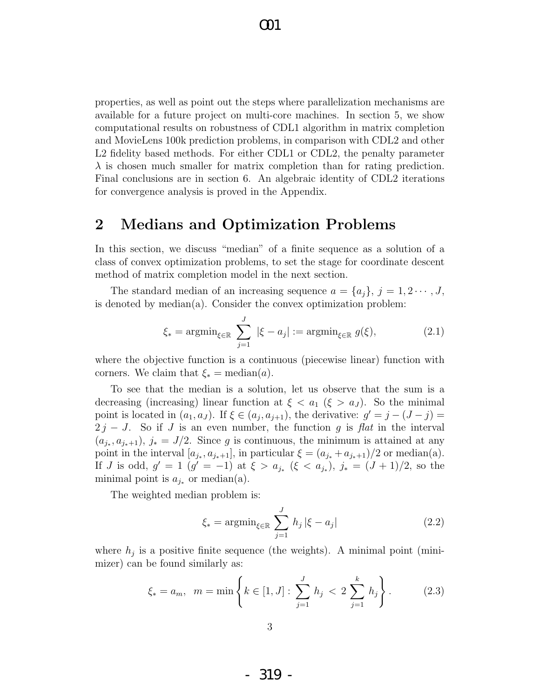properties, as well as point out the steps where parallelization mechanisms are available for a future project on multi-core machines. In section 5, we show computational results on robustness of CDL1 algorithm in matrix completion and MovieLens 100k prediction problems, in comparison with CDL2 and other L2 fidelity based methods. For either CDL1 or CDL2, the penalty parameter  $\lambda$  is chosen much smaller for matrix completion than for rating prediction. Final conclusions are in section 6. An algebraic identity of CDL2 iterations for convergence analysis is proved in the Appendix.

### 2 Medians and Optimization Problems

In this section, we discuss "median" of a finite sequence as a solution of a class of convex optimization problems, to set the stage for coordinate descent method of matrix completion model in the next section.

The standard median of an increasing sequence  $a = \{a_i\}, j = 1, 2 \cdots, J$ , is denoted by median(a). Consider the convex optimization problem:

$$
\xi_* = \operatorname{argmin}_{\xi \in \mathbb{R}} \sum_{j=1}^J |\xi - a_j| := \operatorname{argmin}_{\xi \in \mathbb{R}} g(\xi), \tag{2.1}
$$

where the objective function is a continuous (piecewise linear) function with corners. We claim that  $\xi_* = \text{median}(a)$ .

To see that the median is a solution, let us observe that the sum is a decreasing (increasing) linear function at  $\xi < a_1$  ( $\xi > a_J$ ). So the minimal point is located in  $(a_1, a_J)$ . If  $\xi \in (a_j, a_{j+1})$ , the derivative:  $g' = j - (J - j) =$  $2 j - J$ . So if J is an even number, the function g is flat in the interval  $(a_{j_*}, a_{j_*+1}), j_* = J/2$ . Since g is continuous, the minimum is attained at any point in the interval  $[a_{j_*}, a_{j_*+1}]$ , in particular  $\xi = (a_{j_*} + a_{j_*+1})/2$  or median(a). If *J* is odd,  $g' = 1$   $(g' = -1)$  at  $\xi > a_{j_*}$   $(\xi < a_{j_*})$ ,  $j_* = (J+1)/2$ , so the minimal point is  $a_{j*}$  or median(a).

The weighted median problem is:

$$
\xi_* = \operatorname{argmin}_{\xi \in \mathbb{R}} \sum_{j=1}^J h_j |\xi - a_j| \tag{2.2}
$$

where  $h_j$  is a positive finite sequence (the weights). A minimal point (minimizer) can be found similarly as:

$$
\xi_* = a_m, \ \ m = \min\left\{k \in [1, J] : \sum_{j=1}^J h_j < 2 \sum_{j=1}^k h_j \right\}.
$$
 (2.3)

- 319 -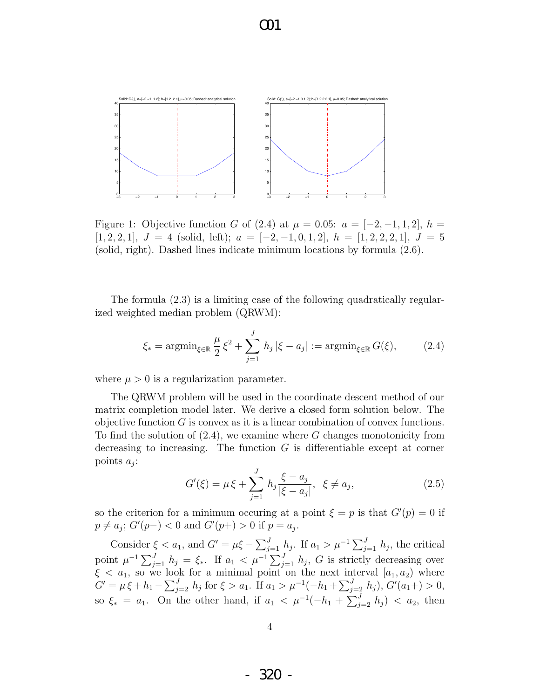

Figure 1: Objective function G of (2.4) at  $\mu = 0.05$ :  $a = [-2, -1, 1, 2]$ ,  $h =$  $[1, 2, 2, 1], J = 4$  (solid, left);  $a = [-2, -1, 0, 1, 2], h = [1, 2, 2, 2, 1], J = 5$ (solid, right). Dashed lines indicate minimum locations by formula (2.6).

The formula (2.3) is a limiting case of the following quadratically regularized weighted median problem (QRWM):

$$
\xi_* = \operatorname{argmin}_{\xi \in \mathbb{R}} \frac{\mu}{2} \xi^2 + \sum_{j=1}^J h_j \, |\xi - a_j| := \operatorname{argmin}_{\xi \in \mathbb{R}} G(\xi),\tag{2.4}
$$

where  $\mu > 0$  is a regularization parameter.

The QRWM problem will be used in the coordinate descent method of our matrix completion model later. We derive a closed form solution below. The objective function  $G$  is convex as it is a linear combination of convex functions. To find the solution of  $(2.4)$ , we examine where G changes monotonicity from decreasing to increasing. The function  $G$  is differentiable except at corner points  $a_j$ :

$$
G'(\xi) = \mu \xi + \sum_{j=1}^{J} h_j \frac{\xi - a_j}{|\xi - a_j|}, \ \xi \neq a_j,
$$
 (2.5)

so the criterion for a minimum occuring at a point  $\xi = p$  is that  $G'(p) = 0$  if  $p \neq a_j$ ;  $G'(p-) < 0$  and  $G'(p+) > 0$  if  $p = a_j$ .

Consider  $\xi < a_1$ , and  $G' = \mu \xi - \sum_{j=1}^J h_j$ . If  $a_1 > \mu^{-1} \sum_{j=1}^J h_j$ , the critical point  $\mu^{-1} \sum_{j=1}^{J} h_j = \xi_*$ . If  $a_1 < \mu^{-1} \sum_{j=1}^{J} h_j$ , G is strictly decreasing over  $\xi < a_1$ , so we look for a minimal point on the next interval  $[a_1, a_2]$  where  $G' = \mu \xi + h_1 - \sum_{j=2}^J h_j$  for  $\xi > a_1$ . If  $a_1 > \mu^{-1}(-h_1 + \sum_{j=2}^J h_j)$ ,  $G'(a_1 +) > 0$ , so  $\xi_* = a_1$ . On the other hand, if  $a_1 < \mu^{-1}(-h_1 + \sum_{j=2}^J h_j) < a_2$ , then

- 320 -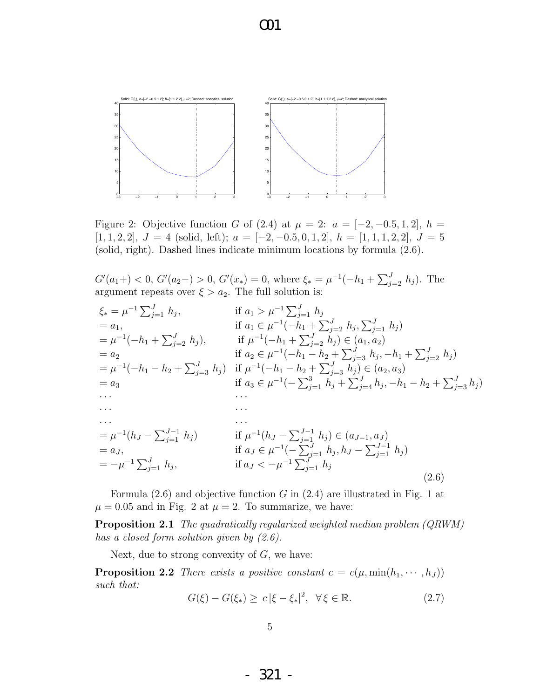

Figure 2: Objective function G of (2.4) at  $\mu = 2$ :  $a = [-2, -0.5, 1, 2], h =$ [1, 1, 2, 2],  $J = 4$  (solid, left);  $a = [-2, -0.5, 0, 1, 2], h = [1, 1, 1, 2, 2], J = 5$ (solid, right). Dashed lines indicate minimum locations by formula (2.6).

 $G'(a_1+) < 0, G'(a_2-) > 0, G'(x_*) = 0$ , where  $\xi_* = \mu^{-1}(-h_1 + \sum_{j=2}^J h_j)$ . The argument repeats over  $\xi > a_2$ . The full solution is:

$$
\xi_{*} = \mu^{-1} \sum_{j=1}^{J} h_{j}, \qquad \text{if } a_{1} > \mu^{-1} \sum_{j=1}^{J} h_{j}
$$
\n
$$
= a_{1}, \qquad \text{if } a_{1} \in \mu^{-1}(-h_{1} + \sum_{j=2}^{J} h_{j}, \sum_{j=1}^{J} h_{j})
$$
\n
$$
= \mu^{-1}(-h_{1} + \sum_{j=2}^{J} h_{j}), \qquad \text{if } \mu^{-1}(-h_{1} + \sum_{j=2}^{J} h_{j}) \in (a_{1}, a_{2})
$$
\n
$$
= a_{2} \qquad \text{if } a_{2} \in \mu^{-1}(-h_{1} - h_{2} + \sum_{j=3}^{J} h_{j}) \in (a_{2}, a_{3})
$$
\n
$$
= \mu^{-1}(-h_{1} - h_{2} + \sum_{j=3}^{J} h_{j}) \qquad \text{if } \mu^{-1}(-h_{1} - h_{2} + \sum_{j=3}^{J} h_{j}) \in (a_{2}, a_{3})
$$
\n
$$
= a_{3} \qquad \text{if } a_{3} \in \mu^{-1}(-\sum_{j=1}^{3} h_{j} + \sum_{j=4}^{J} h_{j}, -h_{1} - h_{2} + \sum_{j=3}^{J} h_{j})
$$
\n
$$
\dots
$$
\n
$$
= \mu^{-1}(h_{J} - \sum_{j=1}^{J-1} h_{j}) \qquad \text{if } \mu^{-1}(h_{J} - \sum_{j=1}^{J-1} h_{j}) \in (a_{J-1}, a_{J})
$$
\n
$$
= a_{J}, \qquad \text{if } a_{J} \in \mu^{-1}(-\sum_{j=1}^{J} h_{j}, h_{J} - \sum_{j=1}^{J-1} h_{j})
$$
\n
$$
= -\mu^{-1} \sum_{j=1}^{J} h_{j}, \qquad \text{if } a_{J} < -\mu^{-1} \sum_{j=1}^{J} h_{j}
$$
\n
$$
(2.6)
$$

Formula  $(2.6)$  and objective function G in  $(2.4)$  are illustrated in Fig. 1 at  $\mu = 0.05$  and in Fig. 2 at  $\mu = 2$ . To summarize, we have:

Proposition 2.1 The quadratically regularized weighted median problem (QRWM) has a closed form solution given by  $(2.6)$ .

Next, due to strong convexity of  $G$ , we have:

**Proposition 2.2** There exists a positive constant  $c = c(\mu, \min(h_1, \dots, h_J))$ such that:

$$
G(\xi) - G(\xi_*) \ge c |\xi - \xi_*|^2, \quad \forall \xi \in \mathbb{R}.\tag{2.7}
$$

- 321 -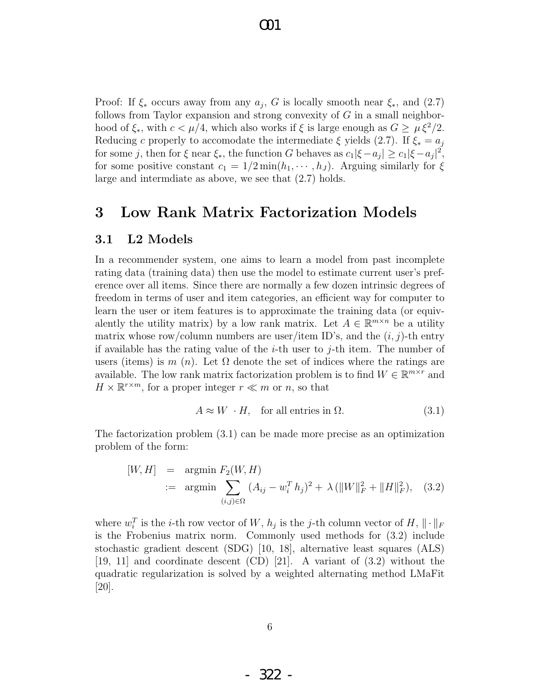Proof: If  $\xi_*$  occurs away from any  $a_j$ , G is locally smooth near  $\xi_*$ , and (2.7) follows from Taylor expansion and strong convexity of  $G$  in a small neighborhood of  $\xi_*,$  with  $c < \mu/4$ , which also works if  $\xi$  is large enough as  $G \geq \mu \xi^2/2$ . Reducing c properly to accomodate the intermediate  $\xi$  yields (2.7). If  $\xi_* = a_j$ for some j, then for  $\xi$  near  $\xi_*$ , the function G behaves as  $c_1|\xi - a_j| \ge c_1 |\xi - a_j|^2$ , for some positive constant  $c_1 = 1/2 \min(h_1, \dots, h_J)$ . Arguing similarly for  $\xi$ large and intermdiate as above, we see that (2.7) holds.

## 3 Low Rank Matrix Factorization Models

#### 3.1 L2 Models

In a recommender system, one aims to learn a model from past incomplete rating data (training data) then use the model to estimate current user's preference over all items. Since there are normally a few dozen intrinsic degrees of freedom in terms of user and item categories, an efficient way for computer to learn the user or item features is to approximate the training data (or equivalently the utility matrix) by a low rank matrix. Let  $A \in \mathbb{R}^{m \times n}$  be a utility matrix whose row/column numbers are user/item ID's, and the  $(i, j)$ -th entry if available has the rating value of the  $i$ -th user to  $j$ -th item. The number of users (items) is m  $(n)$ . Let  $\Omega$  denote the set of indices where the ratings are available. The low rank matrix factorization problem is to find  $W \in \mathbb{R}^{m \times r}$  and  $H \times \mathbb{R}^{r \times m}$ , for a proper integer  $r \ll m$  or n, so that

$$
A \approx W \cdot H, \quad \text{for all entries in } \Omega. \tag{3.1}
$$

The factorization problem (3.1) can be made more precise as an optimization problem of the form:

$$
[W, H] = \underset{(i,j)\in\Omega}{\text{argmin}} F_2(W, H)
$$
  
 :=  $\underset{(i,j)\in\Omega}{\text{argmin}} (A_{ij} - w_i^T h_j)^2 + \lambda (||W||_F^2 + ||H||_F^2),$  (3.2)

where  $w_i^T$  is the *i*-th row vector of  $W$ ,  $h_j$  is the *j*-th column vector of  $H$ ,  $\|\cdot\|_F$ is the Frobenius matrix norm. Commonly used methods for (3.2) include stochastic gradient descent (SDG) [10, 18], alternative least squares (ALS) [19, 11] and coordinate descent (CD) [21]. A variant of (3.2) without the quadratic regularization is solved by a weighted alternating method LMaFit [20].

- 322 -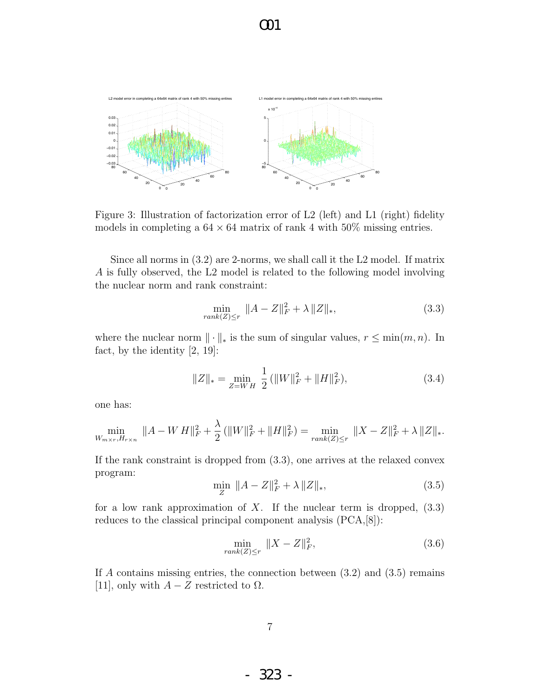

Figure 3: Illustration of factorization error of L2 (left) and L1 (right) fidelity models in completing a  $64 \times 64$  matrix of rank 4 with  $50\%$  missing entries.

Since all norms in (3.2) are 2-norms, we shall call it the L2 model. If matrix A is fully observed, the L2 model is related to the following model involving the nuclear norm and rank constraint:

$$
\min_{rank(Z)\le r} \|A - Z\|_F^2 + \lambda \|Z\|_*,
$$
\n(3.3)

where the nuclear norm  $\|\cdot\|_*$  is the sum of singular values,  $r \leq \min(m, n)$ . In fact, by the identity [2, 19]:

$$
||Z||_* = \min_{Z=WH} \frac{1}{2} (||W||_F^2 + ||H||_F^2), \tag{3.4}
$$

one has:

$$
\min_{W_{m \times r}, H_{r \times n}} \|A - W H\|_{F}^{2} + \frac{\lambda}{2} (\|W\|_{F}^{2} + \|H\|_{F}^{2}) = \min_{rank(Z) \leq r} \|X - Z\|_{F}^{2} + \lambda \|Z\|_{*}.
$$

If the rank constraint is dropped from (3.3), one arrives at the relaxed convex program:

$$
\min_{Z} \|A - Z\|_{F}^{2} + \lambda \|Z\|_{*},
$$
\n(3.5)

for a low rank approximation of  $X$ . If the nuclear term is dropped,  $(3.3)$ reduces to the classical principal component analysis (PCA,[8]):

$$
\min_{rank(Z)\leq r} \|X - Z\|_F^2,\tag{3.6}
$$

If A contains missing entries, the connection between  $(3.2)$  and  $(3.5)$  remains [11], only with  $A - Z$  restricted to  $\Omega$ .

- 323 -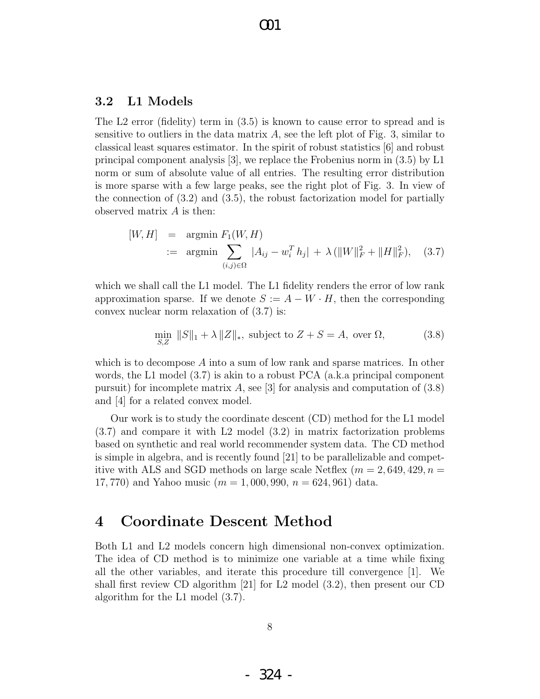#### 3.2 L1 Models

The L2 error (fidelity) term in (3.5) is known to cause error to spread and is sensitive to outliers in the data matrix  $A$ , see the left plot of Fig. 3, similar to classical least squares estimator. In the spirit of robust statistics [6] and robust principal component analysis [3], we replace the Frobenius norm in (3.5) by L1 norm or sum of absolute value of all entries. The resulting error distribution is more sparse with a few large peaks, see the right plot of Fig. 3. In view of the connection of (3.2) and (3.5), the robust factorization model for partially observed matrix  $A$  is then:

$$
[W, H] = \underset{(i,j)\in\Omega}{\text{argmin}} F_1(W, H)
$$
  
 :=  $\underset{(i,j)\in\Omega}{\text{argmin}} |A_{ij} - w_i^T h_j| + \lambda (||W||_F^2 + ||H||_F^2),$  (3.7)

which we shall call the L1 model. The L1 fidelity renders the error of low rank approximation sparse. If we denote  $S := A - W \cdot H$ , then the corresponding convex nuclear norm relaxation of (3.7) is:

$$
\min_{S,Z} \|S\|_1 + \lambda \|Z\|_*, \text{ subject to } Z + S = A, \text{ over } \Omega,
$$
\n(3.8)

which is to decompose A into a sum of low rank and sparse matrices. In other words, the L1 model (3.7) is akin to a robust PCA (a.k.a principal component pursuit) for incomplete matrix A, see [3] for analysis and computation of  $(3.8)$ and [4] for a related convex model.

Our work is to study the coordinate descent (CD) method for the L1 model (3.7) and compare it with L2 model (3.2) in matrix factorization problems based on synthetic and real world recommender system data. The CD method is simple in algebra, and is recently found [21] to be parallelizable and competitive with ALS and SGD methods on large scale Netflex  $(m = 2, 649, 429, n =$ 17, 770) and Yahoo music ( $m = 1,000,990, n = 624,961$ ) data.

## 4 Coordinate Descent Method

Both L1 and L2 models concern high dimensional non-convex optimization. The idea of CD method is to minimize one variable at a time while fixing all the other variables, and iterate this procedure till convergence [1]. We shall first review CD algorithm [21] for L2 model (3.2), then present our CD algorithm for the L1 model (3.7).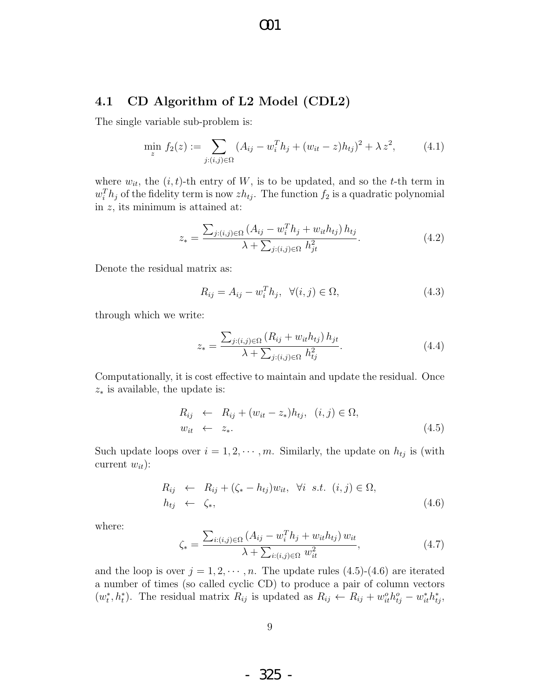#### 4.1 CD Algorithm of L2 Model (CDL2)

The single variable sub-problem is:

$$
\min_{z} f_2(z) := \sum_{j:(i,j)\in\Omega} (A_{ij} - w_i^T h_j + (w_{it} - z)h_{tj})^2 + \lambda z^2, \tag{4.1}
$$

where  $w_{it}$ , the  $(i, t)$ -th entry of W, is to be updated, and so the t-th term in  $w_i^T h_j$  of the fidelity term is now  $zh_{tj}$ . The function  $f_2$  is a quadratic polynomial in z, its minimum is attained at:

$$
z_{*} = \frac{\sum_{j:(i,j)\in\Omega} (A_{ij} - w_{i}^{T}h_{j} + w_{it}h_{tj}) h_{tj}}{\lambda + \sum_{j:(i,j)\in\Omega} h_{jt}^{2}}.
$$
\n(4.2)

Denote the residual matrix as:

$$
R_{ij} = A_{ij} - w_i^T h_j, \ \ \forall (i, j) \in \Omega,
$$
\n
$$
(4.3)
$$

through which we write:

$$
z_{*} = \frac{\sum_{j:(i,j)\in\Omega} (R_{ij} + w_{it}h_{tj}) h_{jt}}{\lambda + \sum_{j:(i,j)\in\Omega} h_{tj}^{2}}.
$$
\n(4.4)

Computationally, it is cost effective to maintain and update the residual. Once  $z_*$  is available, the update is:

$$
R_{ij} \leftarrow R_{ij} + (w_{it} - z_*)h_{tj}, \quad (i, j) \in \Omega, \n w_{it} \leftarrow z_*.
$$
\n(4.5)

Such update loops over  $i = 1, 2, \dots, m$ . Similarly, the update on  $h_{tj}$  is (with current  $w_{it}$ :

$$
R_{ij} \leftarrow R_{ij} + (\zeta_* - h_{tj})w_{it}, \quad \forall i \quad s.t. \quad (i, j) \in \Omega, h_{tj} \leftarrow \zeta_*,
$$
 (4.6)

where:

$$
\zeta_{*} = \frac{\sum_{i:(i,j)\in\Omega} (A_{ij} - w_{i}^{T}h_{j} + w_{it}h_{tj}) w_{it}}{\lambda + \sum_{i:(i,j)\in\Omega} w_{it}^{2}},
$$
\n(4.7)

and the loop is over  $j = 1, 2, \dots, n$ . The update rules  $(4.5)-(4.6)$  are iterated a number of times (so called cyclic CD) to produce a pair of column vectors  $(w_t^*, h_t^*)$ . The residual matrix  $R_{ij}$  is updated as  $R_{ij} \leftarrow R_{ij} + w_{it}^o h_{tj}^o - w_{it}^* h_{tj}^*$ 

- 325 -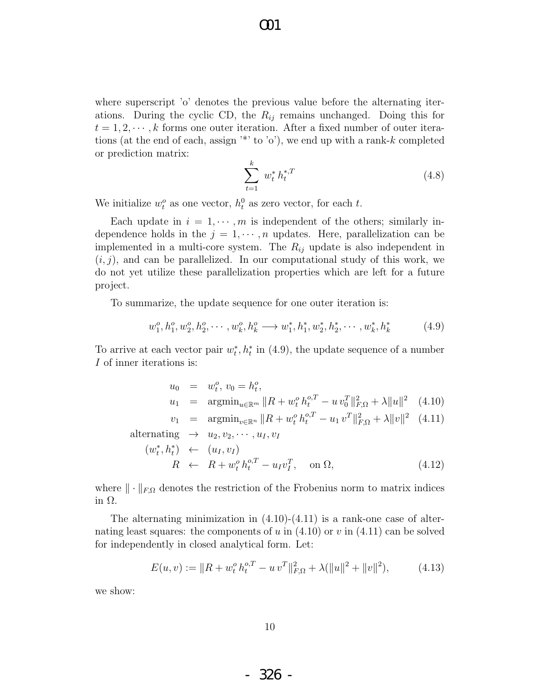where superscript 'o' denotes the previous value before the alternating iterations. During the cyclic CD, the  $R_{ij}$  remains unchanged. Doing this for  $t = 1, 2, \dots, k$  forms one outer iteration. After a fixed number of outer iterations (at the end of each, assign  $\lambda$ <sup>\*</sup> to 'o'), we end up with a rank-k completed or prediction matrix:

$$
\sum_{t=1}^{k} w_t^* h_t^{*,T} \tag{4.8}
$$

We initialize  $w_t^o$  as one vector,  $h_t^0$  as zero vector, for each t.

Each update in  $i = 1, \dots, m$  is independent of the others; similarly independence holds in the  $j = 1, \dots, n$  updates. Here, parallelization can be implemented in a multi-core system. The  $R_{ij}$  update is also independent in  $(i, j)$ , and can be parallelized. In our computational study of this work, we do not yet utilize these parallelization properties which are left for a future project.

To summarize, the update sequence for one outer iteration is:

$$
w_1^o, h_1^o, w_2^o, h_2^o, \cdots, w_k^o, h_k^o \longrightarrow w_1^*, h_1^*, w_2^*, h_2^*, \cdots, w_k^*, h_k^*
$$
 (4.9)

To arrive at each vector pair  $w_t^*, h_t^*$  in (4.9), the update sequence of a number I of inner iterations is:

$$
u_0 = w_t^o, v_0 = h_t^o,
$$
  
\n
$$
u_1 = \operatorname{argmin}_{u \in \mathbb{R}^m} ||R + w_t^o h_t^{o,T} - u v_0^T||_{F,\Omega}^2 + \lambda ||u||^2
$$
 (4.10)

$$
v_1 = \operatorname{argmin}_{v \in \mathbb{R}^n} \|R + w_t^o h_t^{o,T} - u_1 v^T\|_{F,\Omega}^2 + \lambda \|v\|^2 \quad (4.11)
$$

alternating 
$$
\rightarrow u_2, v_2, \cdots, u_I, v_I
$$
  
\n
$$
(w_t^*, h_t^*) \leftarrow (u_I, v_I)
$$
\n
$$
R \leftarrow R + w_t^o h_t^{o,T} - u_I v_I^T, \text{ on } \Omega,
$$
\n(4.12)

where  $\|\cdot\|_{F,\Omega}$  denotes the restriction of the Frobenius norm to matrix indices in Ω.

The alternating minimization in  $(4.10)-(4.11)$  is a rank-one case of alternating least squares: the components of u in  $(4.10)$  or v in  $(4.11)$  can be solved for independently in closed analytical form. Let:

$$
E(u, v) := ||R + w_t^o h_t^{o, T} - u v^T||_{F, \Omega}^2 + \lambda(||u||^2 + ||v||^2), \qquad (4.13)
$$

we show:

- 326 -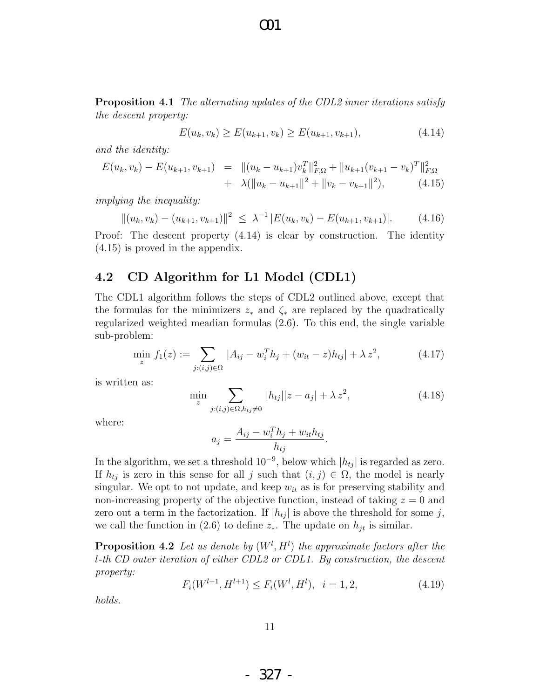**Proposition 4.1** The alternating updates of the CDL2 inner iterations satisfy the descent property:

O01

$$
E(u_k, v_k) \ge E(u_{k+1}, v_k) \ge E(u_{k+1}, v_{k+1}),
$$
\n(4.14)

and the identity:

$$
E(u_k, v_k) - E(u_{k+1}, v_{k+1}) = ||(u_k - u_{k+1})v_k^T||_{F,\Omega}^2 + ||u_{k+1}(v_{k+1} - v_k)^T||_{F,\Omega}^2
$$
  
+  $\lambda (||u_k - u_{k+1}||^2 + ||v_k - v_{k+1}||^2),$  (4.15)

implying the inequality:

$$
||(u_k, v_k) - (u_{k+1}, v_{k+1})||^2 \leq \lambda^{-1} |E(u_k, v_k) - E(u_{k+1}, v_{k+1})|.
$$
 (4.16)

Proof: The descent property (4.14) is clear by construction. The identity (4.15) is proved in the appendix.

#### 4.2 CD Algorithm for L1 Model (CDL1)

The CDL1 algorithm follows the steps of CDL2 outlined above, except that the formulas for the minimizers  $z_*$  and  $\zeta_*$  are replaced by the quadratically regularized weighted meadian formulas (2.6). To this end, the single variable sub-problem:

$$
\min_{z} f_1(z) := \sum_{j:(i,j)\in\Omega} |A_{ij} - w_i^T h_j + (w_{it} - z)h_{tj}| + \lambda z^2,
$$
\n(4.17)

is written as:

$$
\min_{z} \sum_{j:(i,j)\in\Omega, h_{tj}\neq 0} |h_{tj}||z - a_j| + \lambda z^2,
$$
\n(4.18)

where:

$$
a_j = \frac{A_{ij} - w_i^T h_j + w_{it} h_{tj}}{h_{tj}}.
$$

In the algorithm, we set a threshold  $10^{-9}$ , below which  $|h_{tj}|$  is regarded as zero. If  $h_{tj}$  is zero in this sense for all j such that  $(i, j) \in \Omega$ , the model is nearly singular. We opt to not update, and keep  $w_{it}$  as is for preserving stability and non-increasing property of the objective function, instead of taking  $z = 0$  and zero out a term in the factorization. If  $|h_{tj}|$  is above the threshold for some j, we call the function in (2.6) to define  $z_*$ . The update on  $h_{it}$  is similar.

**Proposition 4.2** Let us denote by  $(W^l, H^l)$  the approximate factors after the l-th CD outer iteration of either CDL2 or CDL1. By construction, the descent property:

$$
F_i(W^{l+1}, H^{l+1}) \le F_i(W^l, H^l), \quad i = 1, 2,
$$
\n
$$
(4.19)
$$

holds.

- 327 -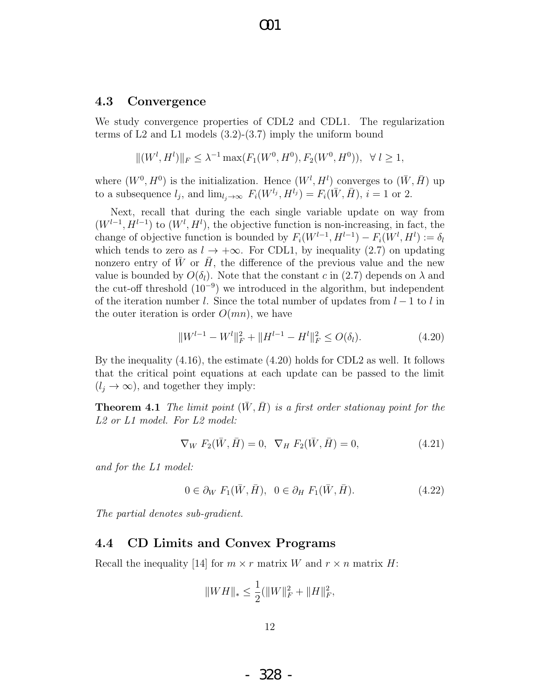#### 4.3 Convergence

We study convergence properties of CDL2 and CDL1. The regularization terms of L2 and L1 models (3.2)-(3.7) imply the uniform bound

$$
||(W^l, H^l)||_F \leq \lambda^{-1} \max(F_1(W^0, H^0), F_2(W^0, H^0)), \quad \forall \ l \geq 1,
$$

where  $(W^0, H^0)$  is the initialization. Hence  $(W^l, H^l)$  converges to  $(\bar{W}, \bar{H})$  up to a subsequence  $l_j$ , and  $\lim_{l_j \to \infty} F_i(W^{l_j}, H^{l_j}) = F_i(\bar{W}, \bar{H}), i = 1$  or 2.

Next, recall that during the each single variable update on way from  $(W^{l-1}, H^{l-1})$  to  $(W^l, H^l)$ , the objective function is non-increasing, in fact, the change of objective function is bounded by  $F_i(W^{l-1}, H^{l-1}) - F_i(W^l, H^l) := \delta_l$ which tends to zero as  $l \to +\infty$ . For CDL1, by inequality (2.7) on updating nonzero entry of  $\bar{W}$  or  $\bar{H}$ , the difference of the previous value and the new value is bounded by  $O(\delta_l)$ . Note that the constant c in (2.7) depends on  $\lambda$  and the cut-off threshold  $(10^{-9})$  we introduced in the algorithm, but independent of the iteration number l. Since the total number of updates from  $l-1$  to l in the outer iteration is order  $O(mn)$ , we have

$$
||W^{l-1} - W^l||_F^2 + ||H^{l-1} - H^l||_F^2 \le O(\delta_l). \tag{4.20}
$$

By the inequality (4.16), the estimate (4.20) holds for CDL2 as well. It follows that the critical point equations at each update can be passed to the limit  $(l_j \rightarrow \infty)$ , and together they imply:

**Theorem 4.1** The limit point  $(\overline{W}, \overline{H})$  is a first order stationay point for the L2 or L1 model. For L2 model:

$$
\nabla_W F_2(\bar{W}, \bar{H}) = 0, \ \nabla_H F_2(\bar{W}, \bar{H}) = 0,
$$
\n(4.21)

and for the L1 model:

$$
0 \in \partial_W F_1(\bar{W}, \bar{H}), \quad 0 \in \partial_H F_1(\bar{W}, \bar{H}). \tag{4.22}
$$

The partial denotes sub-gradient.

#### 4.4 CD Limits and Convex Programs

Recall the inequality [14] for  $m \times r$  matrix W and  $r \times n$  matrix H:

$$
||WH||_* \leq \frac{1}{2}(||W||_F^2 + ||H||_F^2),
$$

- 328 -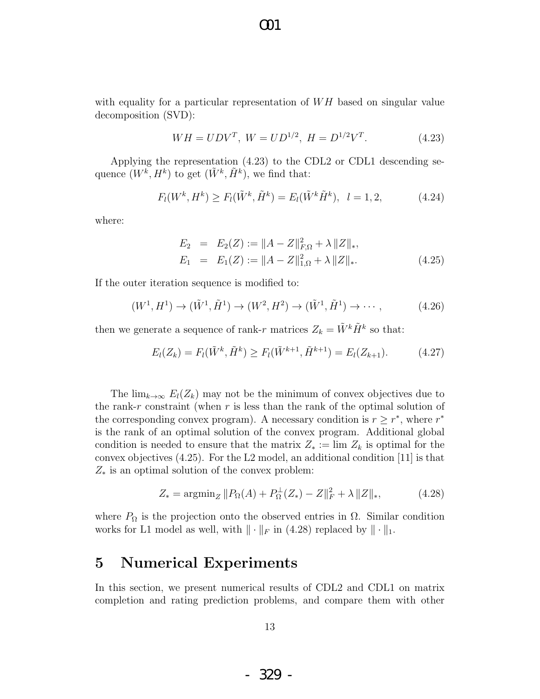with equality for a particular representation of  $WH$  based on singular value decomposition (SVD):

O01

$$
WH = UDV^T
$$
,  $W = UD^{1/2}$ ,  $H = D^{1/2}V^T$ . (4.23)

Applying the representation (4.23) to the CDL2 or CDL1 descending sequence  $(W^k, H^k)$  to get  $(\tilde{W}^k, \tilde{H}^k)$ , we find that:

$$
F_l(W^k, H^k) \ge F_l(\tilde{W}^k, \tilde{H}^k) = E_l(\tilde{W}^k \tilde{H}^k), \quad l = 1, 2,
$$
 (4.24)

where:

$$
E_2 = E_2(Z) := ||A - Z||_{F,\Omega}^2 + \lambda ||Z||_*,
$$
  
\n
$$
E_1 = E_1(Z) := ||A - Z||_{1,\Omega}^2 + \lambda ||Z||_*.
$$
\n(4.25)

If the outer iteration sequence is modified to:

$$
(W^1, H^1) \to (\tilde{W}^1, \tilde{H}^1) \to (W^2, H^2) \to (\tilde{W}^1, \tilde{H}^1) \to \cdots,
$$
 (4.26)

then we generate a sequence of rank-r matrices  $Z_k = \tilde{W}^k \tilde{H}^k$  so that:

$$
E_l(Z_k) = F_l(\tilde{W}^k, \tilde{H}^k) \ge F_l(\tilde{W}^{k+1}, \tilde{H}^{k+1}) = E_l(Z_{k+1}).
$$
 (4.27)

The  $\lim_{k\to\infty} E_l(Z_k)$  may not be the minimum of convex objectives due to the rank-r constraint (when  $r$  is less than the rank of the optimal solution of the corresponding convex program). A necessary condition is  $r \geq r^*$ , where  $r^*$ is the rank of an optimal solution of the convex program. Additional global condition is needed to ensure that the matrix  $Z_* := \lim Z_k$  is optimal for the convex objectives (4.25). For the L2 model, an additional condition [11] is that  $Z_*$  is an optimal solution of the convex problem:

$$
Z_* = \operatorname{argmin}_Z \| P_{\Omega}(A) + P_{\Omega}^{\perp}(Z_*) - Z \|_F^2 + \lambda \| Z \|_*,
$$
 (4.28)

where  $P_{\Omega}$  is the projection onto the observed entries in  $\Omega$ . Similar condition works for L1 model as well, with  $\|\cdot\|_F$  in (4.28) replaced by  $\|\cdot\|_1$ .

### 5 Numerical Experiments

In this section, we present numerical results of CDL2 and CDL1 on matrix completion and rating prediction problems, and compare them with other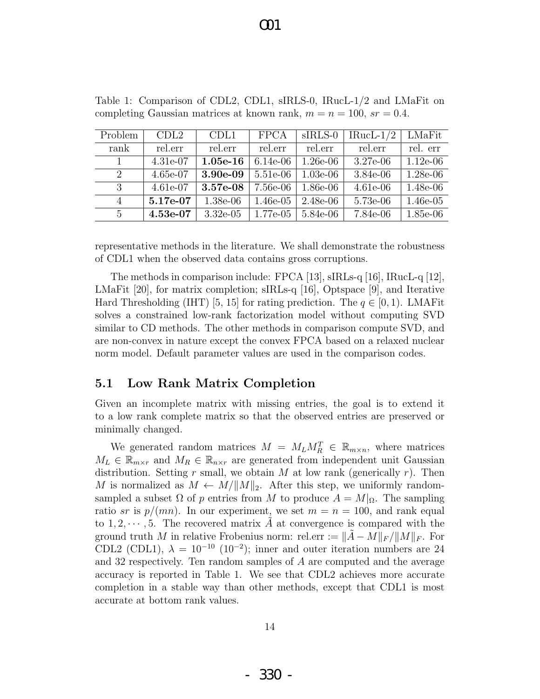| Problem                     | CDL2       | CDL1        | <b>FPCA</b> | $sIRLS-0$  | $IRucL-1/2$ | LMaFit     |
|-----------------------------|------------|-------------|-------------|------------|-------------|------------|
| rank                        | rel.err    | rel.err     | rel.err     | rel.err    | rel.err     | rel. err   |
|                             | $4.31e-07$ | $1.05e-16$  | $6.14e-06$  | $1.26e-06$ | $3.27e-06$  | $1.12e-06$ |
| $\mathcal{D}_{\mathcal{L}}$ | 4.65e-07   | 3.90e-09    | $5.51e-06$  | $1.03e-06$ | 3.84e-06    | 1.28e-06   |
| 3                           | $4.61e-07$ | 3.57e-08    | 7.56e-06    | $1.86e-06$ | $4.61e-06$  | 1.48e-06   |
| $\overline{4}$              | 5.17e-07   | $1.38e-06$  | $1.46e-05$  | 2.48e-06   | 5.73e-06    | $1.46e-05$ |
| 5                           | 4.53e-07   | $3.32e-0.5$ | 1.77e-05    | 5.84e-06   | 7.84e-06    | 1.85e-06   |

Table 1: Comparison of CDL2, CDL1, sIRLS-0, IRucL-1/2 and LMaFit on completing Gaussian matrices at known rank,  $m = n = 100$ ,  $sr = 0.4$ .

representative methods in the literature. We shall demonstrate the robustness of CDL1 when the observed data contains gross corruptions.

The methods in comparison include: FPCA [13], sIRLs-q [16], IRucL-q [12], LMaFit [20], for matrix completion; sIRLs-q [16], Optspace [9], and Iterative Hard Thresholding (IHT) [5, 15] for rating prediction. The  $q \in [0, 1)$ . LMAFit solves a constrained low-rank factorization model without computing SVD similar to CD methods. The other methods in comparison compute SVD, and are non-convex in nature except the convex FPCA based on a relaxed nuclear norm model. Default parameter values are used in the comparison codes.

#### 5.1 Low Rank Matrix Completion

Given an incomplete matrix with missing entries, the goal is to extend it to a low rank complete matrix so that the observed entries are preserved or minimally changed.

We generated random matrices  $M = M_L M_R^T \in \mathbb{R}_{m \times n}$ , where matrices  $M_L \in \mathbb{R}_{m \times r}$  and  $M_R \in \mathbb{R}_{n \times r}$  are generated from independent unit Gaussian distribution. Setting r small, we obtain M at low rank (generically  $r$ ). Then M is normalized as  $M \leftarrow M / ||M||_2$ . After this step, we uniformly randomsampled a subset  $\Omega$  of p entries from M to produce  $A = M|_{\Omega}$ . The sampling ratio sr is  $p/(mn)$ . In our experiment, we set  $m = n = 100$ , and rank equal to  $1, 2, \dots, 5$ . The recovered matrix A at convergence is compared with the ground truth M in relative Frobenius norm: rel.err :=  $\|\tilde{A} - M\|_F / \|M\|_F$ . For CDL2 (CDL1),  $\lambda = 10^{-10}$  (10<sup>-2</sup>); inner and outer iteration numbers are 24 and 32 respectively. Ten random samples of A are computed and the average accuracy is reported in Table 1. We see that CDL2 achieves more accurate completion in a stable way than other methods, except that CDL1 is most accurate at bottom rank values.

- 330 -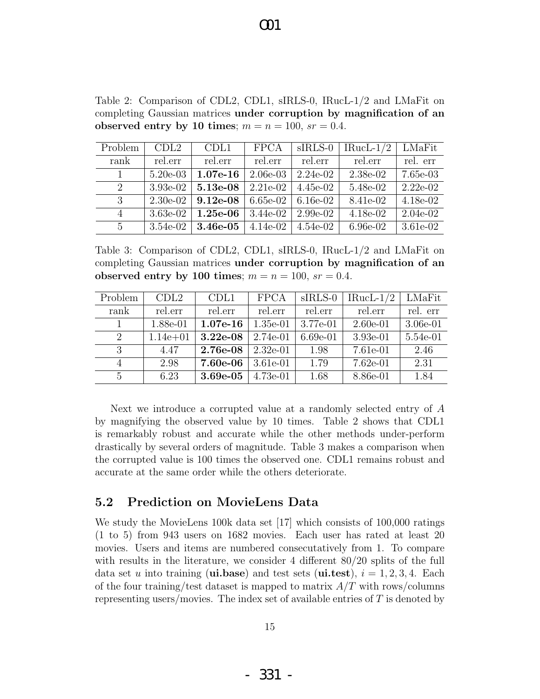| Problem                     | CDL2       | CDL1       | <b>FPCA</b> | $sIRLS-0$  | $IRucL-1/2$ | LMaFit     |
|-----------------------------|------------|------------|-------------|------------|-------------|------------|
| rank                        | rel.err    | rel.err    | rel.err     | rel.err    | rel.err     | rel. err   |
| 1                           | $5.20e-03$ | $1.07e-16$ | $2.06e-03$  | $2.24e-02$ | 2.38e-02    | 7.65e-03   |
| $\mathcal{D}_{\mathcal{L}}$ | $3.93e-02$ | 5.13e-08   | $2.21e-02$  | 4.45e-02   | 5.48e-02    | $2.22e-02$ |
| 3                           | $2.30e-02$ | $9.12e-08$ | 6.65e-02    | 6.16e-02   | 8.41e-02    | 4.18e-02   |
| 4                           | $3.63e-02$ | $1.25e-06$ | $3.44e-02$  | 2.99e-02   | $4.18e-02$  | $2.04e-02$ |
| $\mathbf{5}$                | 3.54e-02   | $3.46e-05$ | $4.14e-02$  | $4.54e-02$ | 6.96e-02    | 3.61e-02   |

Table 2: Comparison of CDL2, CDL1, sIRLS-0, IRucL-1/2 and LMaFit on completing Gaussian matrices under corruption by magnification of an observed entry by 10 times;  $m = n = 100$ ,  $sr = 0.4$ .

Table 3: Comparison of CDL2, CDL1, sIRLS-0, IRucL-1/2 and LMaFit on completing Gaussian matrices under corruption by magnification of an observed entry by 100 times;  $m = n = 100$ ,  $sr = 0.4$ .

| Problem       | CDL2         | CDL1       | <b>FPCA</b> | $sIRLS-0$  | IRucL- $1/2$ | LMaFit     |
|---------------|--------------|------------|-------------|------------|--------------|------------|
| rank          | rel.err      | rel.err    | rel.err     | rel.err    | rel.err      | rel. err   |
|               | 1.88e-01     | $1.07e-16$ | $1.35e-01$  | 3.77e-01   | $2.60e-01$   | $3.06e-01$ |
| 2             | $1.14e + 01$ | $3.22e-08$ | $2.74e-01$  | $6.69e-01$ | $3.93e-01$   | 5.54e-01   |
| 3             | 4.47         | $2.76e-08$ | $2.32e-01$  | 1.98       | 7.61e-01     | 2.46       |
|               | 2.98         | 7.60e-06   | $3.61e-01$  | 1.79       | $7.62e-01$   | 2.31       |
| $\frac{5}{2}$ | 6.23         | $3.69e-05$ | $4.73e-01$  | 1.68       | 8.86e-01     | 1.84       |

Next we introduce a corrupted value at a randomly selected entry of A by magnifying the observed value by 10 times. Table 2 shows that CDL1 is remarkably robust and accurate while the other methods under-perform drastically by several orders of magnitude. Table 3 makes a comparison when the corrupted value is 100 times the observed one. CDL1 remains robust and accurate at the same order while the others deteriorate.

#### 5.2 Prediction on MovieLens Data

We study the MovieLens 100k data set [17] which consists of 100,000 ratings (1 to 5) from 943 users on 1682 movies. Each user has rated at least 20 movies. Users and items are numbered consecutatively from 1. To compare with results in the literature, we consider 4 different 80/20 splits of the full data set u into training (ui.base) and test sets (ui.test),  $i = 1, 2, 3, 4$ . Each of the four training/test dataset is mapped to matrix  $A/T$  with rows/columns representing users/movies. The index set of available entries of T is denoted by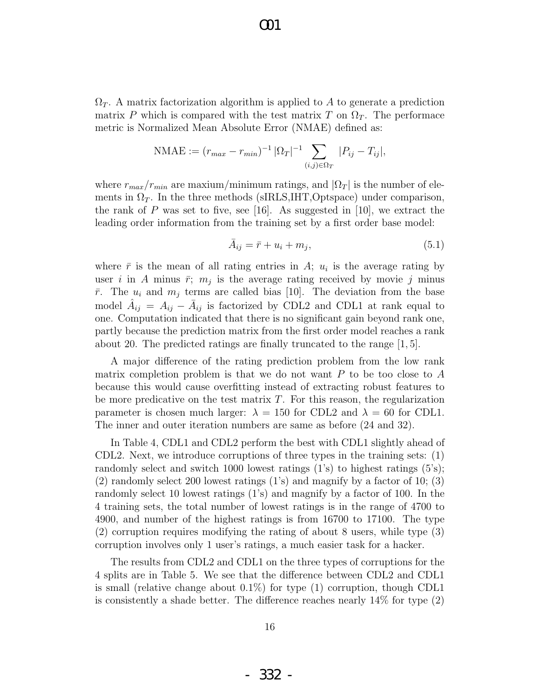$\Omega_T$ . A matrix factorization algorithm is applied to A to generate a prediction matrix P which is compared with the test matrix T on  $\Omega_T$ . The performace metric is Normalized Mean Absolute Error (NMAE) defined as:

NMAE := 
$$
(r_{max} - r_{min})^{-1} |\Omega_T|^{-1} \sum_{(i,j) \in \Omega_T} |P_{ij} - T_{ij}|,
$$

where  $r_{max}/r_{min}$  are maxium/minimum ratings, and  $|\Omega_T|$  is the number of elements in  $\Omega_T$ . In the three methods (sIRLS, IHT, Optspace) under comparison, the rank of P was set to five, see [16]. As suggested in [10], we extract the leading order information from the training set by a first order base model:

$$
\bar{A}_{ij} = \bar{r} + u_i + m_j,\tag{5.1}
$$

where  $\bar{r}$  is the mean of all rating entries in A;  $u_i$  is the average rating by user i in A minus  $\bar{r}$ ;  $m_j$  is the average rating received by movie j minus  $\bar{r}$ . The  $u_i$  and  $m_j$  terms are called bias [10]. The deviation from the base model  $\hat{A}_{ij} = A_{ij} - \bar{A}_{ij}$  is factorized by CDL2 and CDL1 at rank equal to one. Computation indicated that there is no significant gain beyond rank one, partly because the prediction matrix from the first order model reaches a rank about 20. The predicted ratings are finally truncated to the range [1, 5].

A major difference of the rating prediction problem from the low rank matrix completion problem is that we do not want  $P$  to be too close to  $A$ because this would cause overfitting instead of extracting robust features to be more predicative on the test matrix  $T$ . For this reason, the regularization parameter is chosen much larger:  $\lambda = 150$  for CDL2 and  $\lambda = 60$  for CDL1. The inner and outer iteration numbers are same as before (24 and 32).

In Table 4, CDL1 and CDL2 perform the best with CDL1 slightly ahead of CDL2. Next, we introduce corruptions of three types in the training sets: (1) randomly select and switch 1000 lowest ratings  $(1)$ 's to highest ratings  $(5)$ 's; (2) randomly select 200 lowest ratings (1's) and magnify by a factor of 10; (3) randomly select 10 lowest ratings (1's) and magnify by a factor of 100. In the 4 training sets, the total number of lowest ratings is in the range of 4700 to 4900, and number of the highest ratings is from 16700 to 17100. The type (2) corruption requires modifying the rating of about 8 users, while type (3) corruption involves only 1 user's ratings, a much easier task for a hacker.

The results from CDL2 and CDL1 on the three types of corruptions for the 4 splits are in Table 5. We see that the difference between CDL2 and CDL1 is small (relative change about  $0.1\%$ ) for type  $(1)$  corruption, though CDL1 is consistently a shade better. The difference reaches nearly 14% for type (2)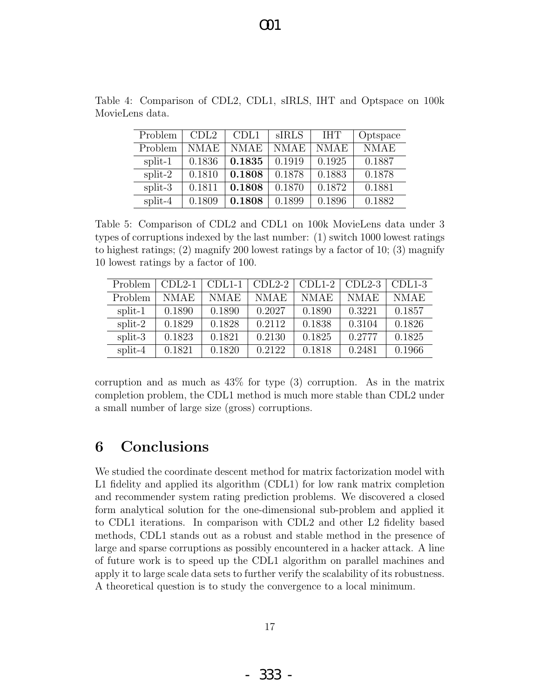| Problem   | CDL2        | CDL1   | SIRLS       | <b>IHT</b>  | Optspace    |
|-----------|-------------|--------|-------------|-------------|-------------|
| Problem   | <b>NMAE</b> | NMAE   | <b>NMAE</b> | <b>NMAE</b> | <b>NMAE</b> |
| split-1   | 0.1836      | 0.1835 | 0.1919      | 0.1925      | 0.1887      |
| $split-2$ | 0.1810      | 0.1808 | 0.1878      | 0.1883      | 0.1878      |
| split-3   | 0.1811      | 0.1808 | 0.1870      | 0.1872      | 0.1881      |
| split-4   | 0.1809      | 0.1808 | 0.1899      | 0.1896      | 0.1882      |

Table 4: Comparison of CDL2, CDL1, sIRLS, IHT and Optspace on 100k MovieLens data.

Table 5: Comparison of CDL2 and CDL1 on 100k MovieLens data under 3 types of corruptions indexed by the last number: (1) switch 1000 lowest ratings to highest ratings; (2) magnify 200 lowest ratings by a factor of 10; (3) magnify 10 lowest ratings by a factor of 100.

| Problem   | $CDL2-1$ | $CDL1-1$    | $CDL2-2$    | $CDL1-2$ | $CDL2-3$    | $CDL1-3$    |
|-----------|----------|-------------|-------------|----------|-------------|-------------|
| Problem   | NMAE     | <b>NMAE</b> | <b>NMAE</b> | NMAE     | <b>NMAE</b> | <b>NMAE</b> |
| split-1   | 0.1890   | 0.1890      | 0.2027      | 0.1890   | 0.3221      | 0.1857      |
| $split-2$ | 0.1829   | 0.1828      | 0.2112      | 0.1838   | 0.3104      | 0.1826      |
| split-3   | 0.1823   | 0.1821      | 0.2130      | 0.1825   | 0.2777      | 0.1825      |
| split-4   | 0.1821   | 0.1820      | 0.2122      | 0.1818   | 0.2481      | 0.1966      |

corruption and as much as 43% for type (3) corruption. As in the matrix completion problem, the CDL1 method is much more stable than CDL2 under a small number of large size (gross) corruptions.

# 6 Conclusions

We studied the coordinate descent method for matrix factorization model with L1 fidelity and applied its algorithm (CDL1) for low rank matrix completion and recommender system rating prediction problems. We discovered a closed form analytical solution for the one-dimensional sub-problem and applied it to CDL1 iterations. In comparison with CDL2 and other L2 fidelity based methods, CDL1 stands out as a robust and stable method in the presence of large and sparse corruptions as possibly encountered in a hacker attack. A line of future work is to speed up the CDL1 algorithm on parallel machines and apply it to large scale data sets to further verify the scalability of its robustness. A theoretical question is to study the convergence to a local minimum.

- 333 -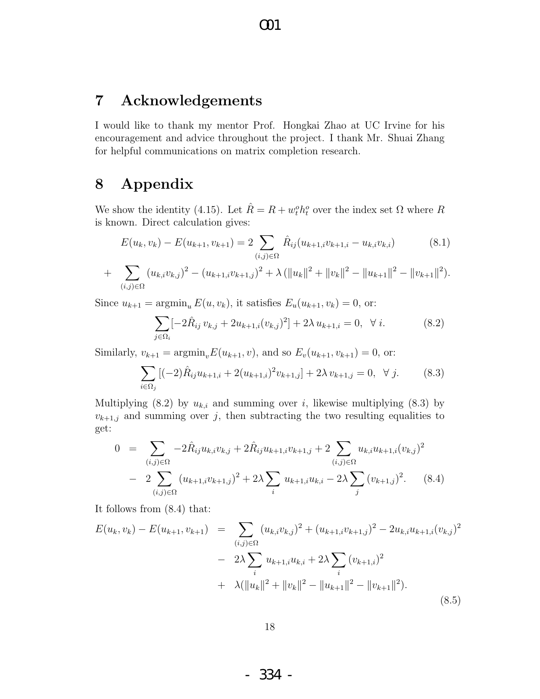### 7 Acknowledgements

I would like to thank my mentor Prof. Hongkai Zhao at UC Irvine for his encouragement and advice throughout the project. I thank Mr. Shuai Zhang for helpful communications on matrix completion research.

# 8 Appendix

We show the identity (4.15). Let  $\hat{R} = R + w_t^o h_t^o$  over the index set  $\Omega$  where R is known. Direct calculation gives:

$$
E(u_k, v_k) - E(u_{k+1}, v_{k+1}) = 2 \sum_{(i,j) \in \Omega} \hat{R}_{ij}(u_{k+1,i}v_{k+1,i} - u_{k,i}v_{k,i})
$$
(8.1)

+ 
$$
\sum_{(i,j)\in\Omega} (u_{k,i}v_{k,j})^2 - (u_{k+1,i}v_{k+1,j})^2 + \lambda (\|u_k\|^2 + \|v_k\|^2 - \|u_{k+1}\|^2 - \|v_{k+1}\|^2).
$$

Since  $u_{k+1} = \operatorname{argmin}_{u} E(u, v_k)$ , it satisfies  $E_u(u_{k+1}, v_k) = 0$ , or:

$$
\sum_{j \in \Omega_i} \left[ -2\hat{R}_{ij} v_{k,j} + 2u_{k+1,i}(v_{k,j})^2 \right] + 2\lambda u_{k+1,i} = 0, \quad \forall i. \tag{8.2}
$$

Similarly,  $v_{k+1} = \text{argmin}_{v} E(u_{k+1}, v)$ , and so  $E_v(u_{k+1}, v_{k+1}) = 0$ , or:

$$
\sum_{i \in \Omega_j} \left[ (-2) \hat{R}_{ij} u_{k+1,i} + 2(u_{k+1,i})^2 v_{k+1,j} \right] + 2\lambda v_{k+1,j} = 0, \quad \forall j. \tag{8.3}
$$

Multiplying (8.2) by  $u_{k,i}$  and summing over i, likewise multiplying (8.3) by  $v_{k+1,j}$  and summing over j, then subtracting the two resulting equalities to get:

$$
0 = \sum_{(i,j)\in\Omega} -2\hat{R}_{ij}u_{k,i}v_{k,j} + 2\hat{R}_{ij}u_{k+1,i}v_{k+1,j} + 2\sum_{(i,j)\in\Omega} u_{k,i}u_{k+1,i}(v_{k,j})^2
$$
  
- 
$$
2\sum_{(i,j)\in\Omega} (u_{k+1,i}v_{k+1,j})^2 + 2\lambda \sum_{i} u_{k+1,i}u_{k,i} - 2\lambda \sum_{j} (v_{k+1,j})^2.
$$
 (8.4)

It follows from (8.4) that:

$$
E(u_k, v_k) - E(u_{k+1}, v_{k+1}) = \sum_{(i,j) \in \Omega} (u_{k,i}v_{k,j})^2 + (u_{k+1,i}v_{k+1,j})^2 - 2u_{k,i}u_{k+1,i}(v_{k,j})^2
$$
  

$$
- 2\lambda \sum_i u_{k+1,i}u_{k,i} + 2\lambda \sum_i (v_{k+1,i})^2
$$
  

$$
+ \lambda (\|u_k\|^2 + \|v_k\|^2 - \|u_{k+1}\|^2 - \|v_{k+1}\|^2). \tag{8.5}
$$

- 334 -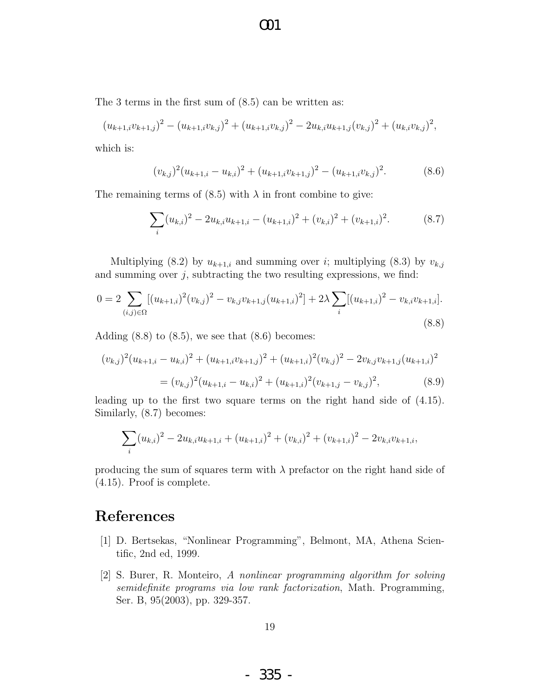The 3 terms in the first sum of (8.5) can be written as:

$$
(u_{k+1,i}v_{k+1,j})^2 - (u_{k+1,i}v_{k,j})^2 + (u_{k+1,i}v_{k,j})^2 - 2u_{k,i}u_{k+1,j}(v_{k,j})^2 + (u_{k,i}v_{k,j})^2,
$$

O01

which is:

$$
(v_{k,j})^2 (u_{k+1,i} - u_{k,i})^2 + (u_{k+1,i}v_{k+1,j})^2 - (u_{k+1,i}v_{k,j})^2.
$$
 (8.6)

The remaining terms of  $(8.5)$  with  $\lambda$  in front combine to give:

$$
\sum_{i} (u_{k,i})^2 - 2u_{k,i}u_{k+1,i} - (u_{k+1,i})^2 + (v_{k,i})^2 + (v_{k+1,i})^2.
$$
 (8.7)

Multiplying (8.2) by  $u_{k+1,i}$  and summing over i; multiplying (8.3) by  $v_{k,j}$ and summing over  $j$ , subtracting the two resulting expressions, we find:

$$
0 = 2 \sum_{(i,j)\in\Omega} [(u_{k+1,i})^2 (v_{k,j})^2 - v_{k,j}v_{k+1,j}(u_{k+1,i})^2] + 2\lambda \sum_i [(u_{k+1,i})^2 - v_{k,i}v_{k+1,i}].
$$
\n(8.8)

Adding  $(8.8)$  to  $(8.5)$ , we see that  $(8.6)$  becomes:

$$
(v_{k,j})^2 (u_{k+1,i} - u_{k,i})^2 + (u_{k+1,i}v_{k+1,j})^2 + (u_{k+1,i})^2 (v_{k,j})^2 - 2v_{k,j}v_{k+1,j}(u_{k+1,i})^2
$$
  
=  $(v_{k,j})^2 (u_{k+1,i} - u_{k,i})^2 + (u_{k+1,i})^2 (v_{k+1,j} - v_{k,j})^2,$  (8.9)

leading up to the first two square terms on the right hand side of (4.15). Similarly, (8.7) becomes:

$$
\sum_{i} (u_{k,i})^2 - 2u_{k,i}u_{k+1,i} + (u_{k+1,i})^2 + (v_{k,i})^2 + (v_{k+1,i})^2 - 2v_{k,i}v_{k+1,i},
$$

producing the sum of squares term with  $\lambda$  prefactor on the right hand side of (4.15). Proof is complete.

### References

- [1] D. Bertsekas, "Nonlinear Programming", Belmont, MA, Athena Scientific, 2nd ed, 1999.
- [2] S. Burer, R. Monteiro, A nonlinear programming algorithm for solving semidefinite programs via low rank factorization, Math. Programming, Ser. B, 95(2003), pp. 329-357.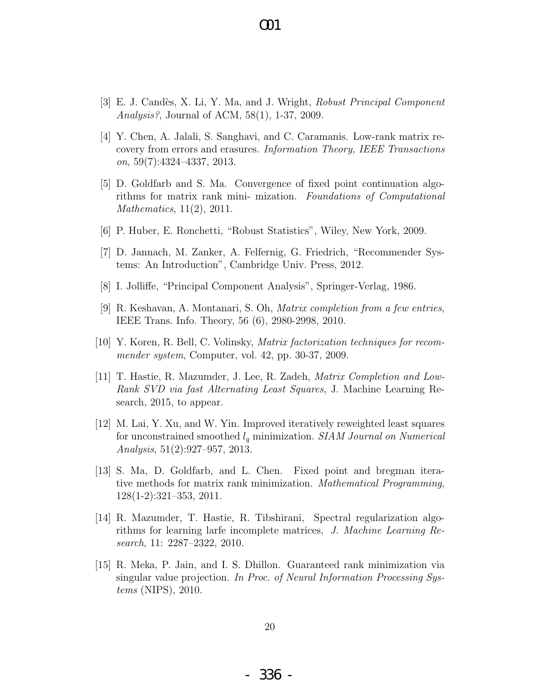- [3] E. J. Candès, X. Li, Y. Ma, and J. Wright, Robust Principal Component Analysis?, Journal of ACM, 58(1), 1-37, 2009.
- [4] Y. Chen, A. Jalali, S. Sanghavi, and C. Caramanis. Low-rank matrix recovery from errors and erasures. Information Theory, IEEE Transactions on, 59(7):4324–4337, 2013.
- [5] D. Goldfarb and S. Ma. Convergence of fixed point continuation algorithms for matrix rank mini- mization. Foundations of Computational Mathematics, 11(2), 2011.
- [6] P. Huber, E. Ronchetti, "Robust Statistics", Wiley, New York, 2009.
- [7] D. Jannach, M. Zanker, A. Felfernig, G. Friedrich, "Recommender Systems: An Introduction", Cambridge Univ. Press, 2012.
- [8] I. Jolliffe, "Principal Component Analysis", Springer-Verlag, 1986.
- [9] R. Keshavan, A. Montanari, S. Oh, Matrix completion from a few entries, IEEE Trans. Info. Theory, 56 (6), 2980-2998, 2010.
- [10] Y. Koren, R. Bell, C. Volinsky, Matrix factorization techniques for recommender system, Computer, vol. 42, pp. 30-37, 2009.
- [11] T. Hastie, R. Mazumder, J. Lee, R. Zadeh, Matrix Completion and Low-Rank SVD via fast Alternating Least Squares, J. Machine Learning Research, 2015, to appear.
- [12] M. Lai, Y. Xu, and W. Yin. Improved iteratively reweighted least squares for unconstrained smoothed  $l_q$  minimization. SIAM Journal on Numerical Analysis, 51(2):927–957, 2013.
- [13] S. Ma, D. Goldfarb, and L. Chen. Fixed point and bregman iterative methods for matrix rank minimization. Mathematical Programming, 128(1-2):321–353, 2011.
- [14] R. Mazumder, T. Hastie, R. Tibshirani, Spectral regularization algorithms for learning larfe incomplete matrices, J. Machine Learning Research, 11: 2287–2322, 2010.
- [15] R. Meka, P. Jain, and I. S. Dhillon. Guaranteed rank minimization via singular value projection. In Proc. of Neural Information Processing Systems (NIPS), 2010.